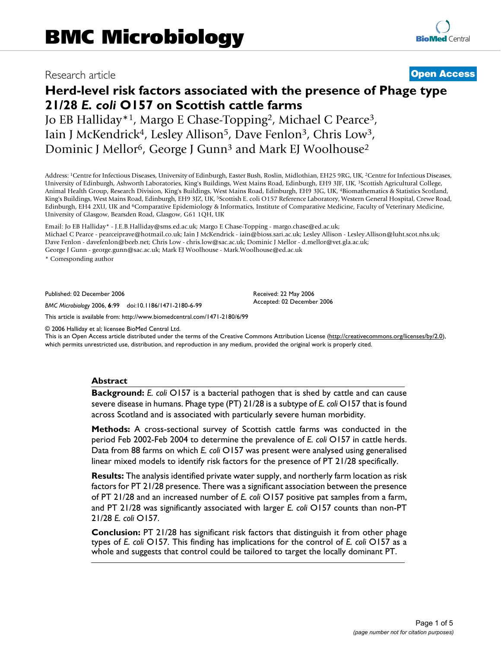# Research article **[Open Access](http://www.biomedcentral.com/info/about/charter/)**

# **Herd-level risk factors associated with the presence of Phage type 21/28** *E. coli* **O157 on Scottish cattle farms**

Jo EB Halliday\*1, Margo E Chase-Topping2, Michael C Pearce3, Iain J McKendrick<sup>4</sup>, Lesley Allison<sup>5</sup>, Dave Fenlon<sup>3</sup>, Chris Low<sup>3</sup>, Dominic J Mellor<sup>6</sup>, George J Gunn<sup>3</sup> and Mark EJ Woolhouse<sup>2</sup>

Address: 1Centre for Infectious Diseases, University of Edinburgh, Easter Bush, Roslin, Midlothian, EH25 9RG, UK, 2Centre for Infectious Diseases, University of Edinburgh, Ashworth Laboratories, King's Buildings, West Mains Road, Edinburgh, EH9 3JF, UK, 3Scottish Agricultural College, Animal Health Group, Research Division, King's Buildings, West Mains Road, Edinburgh, EH9 3JG, UK, 4Biomathematics & Statistics Scotland, King's Buildings, West Mains Road, Edinburgh, EH9 3JZ, UK, 5Scottish E. coli O157 Reference Laboratory, Western General Hospital, Crewe Road, Edinburgh, EH4 2XU, UK and 6Comparative Epidemiology & Informatics, Institute of Comparative Medicine, Faculty of Veterinary Medicine, University of Glasgow, Bearsden Road, Glasgow, G61 1QH, UK

Email: Jo EB Halliday\* - J.E.B.Halliday@sms.ed.ac.uk; Margo E Chase-Topping - margo.chase@ed.ac.uk; Michael C Pearce - pearceiprave@hotmail.co.uk; Iain J McKendrick - iain@bioss.sari.ac.uk; Lesley Allison - Lesley.Allison@luht.scot.nhs.uk; Dave Fenlon - davefenlon@beeb.net; Chris Low - chris.low@sac.ac.uk; Dominic J Mellor - d.mellor@vet.gla.ac.uk; George J Gunn - george.gunn@sac.ac.uk; Mark EJ Woolhouse - Mark.Woolhouse@ed.ac.uk

\* Corresponding author

Published: 02 December 2006

*BMC Microbiology* 2006, **6**:99 doi:10.1186/1471-2180-6-99

[This article is available from: http://www.biomedcentral.com/1471-2180/6/99](http://www.biomedcentral.com/1471-2180/6/99)

© 2006 Halliday et al; licensee BioMed Central Ltd.

This is an Open Access article distributed under the terms of the Creative Commons Attribution License [\(http://creativecommons.org/licenses/by/2.0\)](http://creativecommons.org/licenses/by/2.0), which permits unrestricted use, distribution, and reproduction in any medium, provided the original work is properly cited.

Received: 22 May 2006 Accepted: 02 December 2006

#### **Abstract**

**Background:** *E. coli* O157 is a bacterial pathogen that is shed by cattle and can cause severe disease in humans. Phage type (PT) 21/28 is a subtype of *E. coli* O157 that is found across Scotland and is associated with particularly severe human morbidity.

**Methods:** A cross-sectional survey of Scottish cattle farms was conducted in the period Feb 2002-Feb 2004 to determine the prevalence of *E. coli* O157 in cattle herds. Data from 88 farms on which *E. coli* O157 was present were analysed using generalised linear mixed models to identify risk factors for the presence of PT 21/28 specifically.

**Results:** The analysis identified private water supply, and northerly farm location as risk factors for PT 21/28 presence. There was a significant association between the presence of PT 21/28 and an increased number of *E. coli* O157 positive pat samples from a farm, and PT 21/28 was significantly associated with larger *E. coli* O157 counts than non-PT 21/28 *E. coli* O157.

**Conclusion:** PT 21/28 has significant risk factors that distinguish it from other phage types of *E. coli* O157. This finding has implications for the control of *E. coli* O157 as a whole and suggests that control could be tailored to target the locally dominant PT.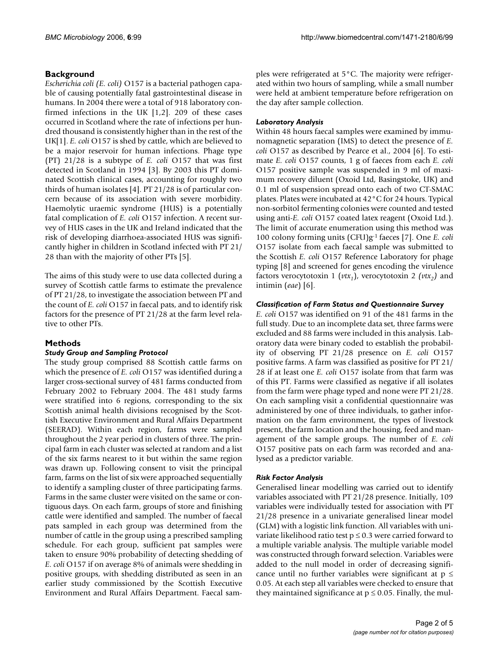# **Background**

*Escherichia coli (E. coli)* O157 is a bacterial pathogen capable of causing potentially fatal gastrointestinal disease in humans. In 2004 there were a total of 918 laboratory confirmed infections in the UK [1,2]. 209 of these cases occurred in Scotland where the rate of infections per hundred thousand is consistently higher than in the rest of the UK[1]. *E. coli* O157 is shed by cattle, which are believed to be a major reservoir for human infections. Phage type (PT) 21/28 is a subtype of *E. coli* O157 that was first detected in Scotland in 1994 [3]. By 2003 this PT dominated Scottish clinical cases, accounting for roughly two thirds of human isolates [4]. PT 21/28 is of particular concern because of its association with severe morbidity. Haemolytic uraemic syndrome (HUS) is a potentially fatal complication of *E. coli* O157 infection. A recent survey of HUS cases in the UK and Ireland indicated that the risk of developing diarrhoea-associated HUS was significantly higher in children in Scotland infected with PT 21/ 28 than with the majority of other PTs [5].

The aims of this study were to use data collected during a survey of Scottish cattle farms to estimate the prevalence of PT 21/28, to investigate the association between PT and the count of *E. coli* O157 in faecal pats, and to identify risk factors for the presence of PT 21/28 at the farm level relative to other PTs.

# **Methods**

#### *Study Group and Sampling Protocol*

The study group comprised 88 Scottish cattle farms on which the presence of *E. coli* O157 was identified during a larger cross-sectional survey of 481 farms conducted from February 2002 to February 2004. The 481 study farms were stratified into 6 regions, corresponding to the six Scottish animal health divisions recognised by the Scottish Executive Environment and Rural Affairs Department (SEERAD). Within each region, farms were sampled throughout the 2 year period in clusters of three. The principal farm in each cluster was selected at random and a list of the six farms nearest to it but within the same region was drawn up. Following consent to visit the principal farm, farms on the list of six were approached sequentially to identify a sampling cluster of three participating farms. Farms in the same cluster were visited on the same or contiguous days. On each farm, groups of store and finishing cattle were identified and sampled. The number of faecal pats sampled in each group was determined from the number of cattle in the group using a prescribed sampling schedule. For each group, sufficient pat samples were taken to ensure 90% probability of detecting shedding of *E. coli* O157 if on average 8% of animals were shedding in positive groups, with shedding distributed as seen in an earlier study commissioned by the Scottish Executive Environment and Rural Affairs Department. Faecal samples were refrigerated at 5°C. The majority were refrigerated within two hours of sampling, while a small number were held at ambient temperature before refrigeration on the day after sample collection.

# *Laboratory Analysis*

Within 48 hours faecal samples were examined by immunomagnetic separation (IMS) to detect the presence of *E. coli* O157 as described by Pearce et al., 2004 [6]. To estimate *E. coli* O157 counts, 1 g of faeces from each *E. coli* O157 positive sample was suspended in 9 ml of maximum recovery diluent (Oxoid Ltd, Basingstoke, UK) and 0.1 ml of suspension spread onto each of two CT-SMAC plates. Plates were incubated at 42°C for 24 hours. Typical non-sorbitol fermenting colonies were counted and tested using anti-*E. coli* O157 coated latex reagent (Oxoid Ltd.). The limit of accurate enumeration using this method was 100 colony forming units (CFU)g-1 faeces [7]. One *E. coli* O157 isolate from each faecal sample was submitted to the Scottish *E. coli* O157 Reference Laboratory for phage typing [8] and screened for genes encoding the virulence factors verocytotoxin 1 ( $vtx_1$ ), verocytotoxin 2 ( $vtx_2$ ) and intimin (*eae*) [6].

#### *Classification of Farm Status and Questionnaire Survey*

*E. coli* O157 was identified on 91 of the 481 farms in the full study. Due to an incomplete data set, three farms were excluded and 88 farms were included in this analysis. Laboratory data were binary coded to establish the probability of observing PT 21/28 presence on *E. coli* O157 positive farms. A farm was classified as positive for PT 21/ 28 if at least one *E. coli* O157 isolate from that farm was of this PT. Farms were classified as negative if all isolates from the farm were phage typed and none were PT 21/28. On each sampling visit a confidential questionnaire was administered by one of three individuals, to gather information on the farm environment, the types of livestock present, the farm location and the housing, feed and management of the sample groups. The number of *E. coli* O157 positive pats on each farm was recorded and analysed as a predictor variable.

# *Risk Factor Analysis*

Generalised linear modelling was carried out to identify variables associated with PT 21/28 presence. Initially, 109 variables were individually tested for association with PT 21/28 presence in a univariate generalised linear model (GLM) with a logistic link function. All variables with univariate likelihood ratio test  $p \le 0.3$  were carried forward to a multiple variable analysis. The multiple variable model was constructed through forward selection. Variables were added to the null model in order of decreasing significance until no further variables were significant at  $p \leq$ 0.05. At each step all variables were checked to ensure that they maintained significance at  $p \leq 0.05$ . Finally, the mul-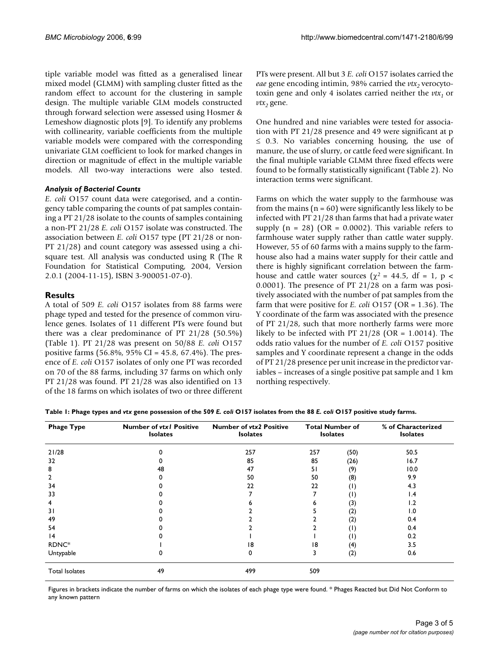tiple variable model was fitted as a generalised linear mixed model (GLMM) with sampling cluster fitted as the random effect to account for the clustering in sample design. The multiple variable GLM models constructed through forward selection were assessed using Hosmer & Lemeshow diagnostic plots [9]. To identify any problems with collinearity, variable coefficients from the multiple variable models were compared with the corresponding univariate GLM coefficient to look for marked changes in direction or magnitude of effect in the multiple variable models. All two-way interactions were also tested.

#### *Analysis of Bacterial Counts*

*E. coli* O157 count data were categorised, and a contingency table comparing the counts of pat samples containing a PT 21/28 isolate to the counts of samples containing a non-PT 21/28 *E. coli* O157 isolate was constructed. The association between *E. coli* O157 type (PT 21/28 or non-PT 21/28) and count category was assessed using a chisquare test. All analysis was conducted using R (The R Foundation for Statistical Computing, 2004, Version 2.0.1 (2004-11-15), ISBN 3-900051-07-0).

# **Results**

A total of 509 *E. coli* O157 isolates from 88 farms were phage typed and tested for the presence of common virulence genes. Isolates of 11 different PTs were found but there was a clear predominance of PT 21/28 (50.5%) (Table 1). PT 21/28 was present on 50/88 *E. coli* O157 positive farms (56.8%, 95% CI = 45.8, 67.4%). The presence of *E. coli* O157 isolates of only one PT was recorded on 70 of the 88 farms, including 37 farms on which only PT 21/28 was found. PT 21/28 was also identified on 13 of the 18 farms on which isolates of two or three different PTs were present. All but 3 *E. coli* O157 isolates carried the *eae* gene encoding intimin, 98% carried the *vtx*<sub>2</sub> verocytotoxin gene and only 4 isolates carried neither the  $vtx_1$  or  $vtx_2$  gene.

One hundred and nine variables were tested for association with PT 21/28 presence and 49 were significant at p  $\leq$  0.3. No variables concerning housing, the use of manure, the use of slurry, or cattle feed were significant. In the final multiple variable GLMM three fixed effects were found to be formally statistically significant (Table 2). No interaction terms were significant.

Farms on which the water supply to the farmhouse was from the mains ( $n = 60$ ) were significantly less likely to be infected with PT 21/28 than farms that had a private water supply  $(n = 28)$  (OR = 0.0002). This variable refers to farmhouse water supply rather than cattle water supply. However, 55 of 60 farms with a mains supply to the farmhouse also had a mains water supply for their cattle and there is highly significant correlation between the farmhouse and cattle water sources ( $\chi^2$  = 44.5, df = 1, p < 0.0001). The presence of PT 21/28 on a farm was positively associated with the number of pat samples from the farm that were positive for *E. coli* O157 (OR = 1.36). The Y coordinate of the farm was associated with the presence of PT 21/28, such that more northerly farms were more likely to be infected with PT 21/28 (OR = 1.0014). The odds ratio values for the number of *E. coli* O157 positive samples and Y coordinate represent a change in the odds of PT 21/28 presence per unit increase in the predictor variables – increases of a single positive pat sample and 1 km northing respectively.

| Table 1: Phage types and vtx gene possession of the 509 E. coli O157 isolates from the 88 E. coli O157 positive study farms. |  |  |
|------------------------------------------------------------------------------------------------------------------------------|--|--|
|------------------------------------------------------------------------------------------------------------------------------|--|--|

| <b>Phage Type</b>     | <b>Number of vtxl Positive</b><br><b>Isolates</b> | <b>Number of vtx2 Positive</b><br><b>Isolates</b><br>257 | <b>Total Number of</b><br><b>Isolates</b> |                   | % of Characterized<br><b>Isolates</b> |
|-----------------------|---------------------------------------------------|----------------------------------------------------------|-------------------------------------------|-------------------|---------------------------------------|
| 21/28                 |                                                   |                                                          | 257                                       | (50)              | 50.5                                  |
| 32                    |                                                   | 85                                                       | 85                                        | (26)              | 16.7                                  |
| 8                     | 48                                                | 47                                                       | 51                                        | (9)               | 10.0                                  |
| 2                     |                                                   | 50                                                       | 50                                        | (8)               | 9.9                                   |
| 34                    |                                                   | 22                                                       | 22                                        | (1)               | 4.3                                   |
| 33                    |                                                   |                                                          |                                           | $(\mathsf{I})$    | 1.4                                   |
| 4                     |                                                   |                                                          |                                           | (3)               | 1.2                                   |
| 31                    |                                                   |                                                          |                                           | (2)               | 1.0                                   |
| 49                    |                                                   |                                                          |                                           | (2)               | 0.4                                   |
| 54                    |                                                   |                                                          |                                           | $\left( 1\right)$ | 0.4                                   |
| 4                     |                                                   |                                                          |                                           | $\left( 1\right)$ | 0.2                                   |
| RDNC*                 |                                                   | 18                                                       | 18                                        | (4)               | 3.5                                   |
| Untypable             |                                                   | 0                                                        | 3                                         | (2)               | 0.6                                   |
| <b>Total Isolates</b> | 49                                                | 499                                                      | 509                                       |                   |                                       |

Figures in brackets indicate the number of farms on which the isolates of each phage type were found. \* Phages Reacted but Did Not Conform to any known pattern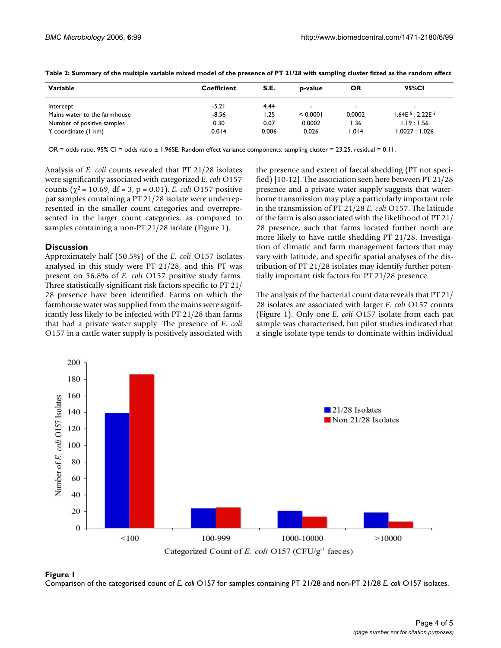| Variable                     | Coefficient | S.E.  | p-value  | OR     | 95%CI            |
|------------------------------|-------------|-------|----------|--------|------------------|
| Intercept                    | $-5.21$     | 4.44  |          | $\sim$ | -                |
| Mains water to the farmhouse | $-8.56$     | 1.25  | < 0.0001 | 0.0002 | $.64E-5:2.22E-3$ |
| Number of positive samples   | 0.30        | 0.07  | 0.0002   | I.36   | 1.19:1.56        |
| Y coordinate (1 km)          | 0.014       | 0.006 | 0.026    | 1.014  | 1.0027 : 1.026   |

**Table 2: Summary of the multiple variable mixed model of the presence of PT 21/28 with sampling cluster fitted as the random effect**

OR = odds ratio, 95% CI = odds ratio ± 1.96SE. Random effect variance components: sampling cluster = 23.25, residual = 0.11.

Analysis of *E. coli* counts revealed that PT 21/28 isolates were significantly associated with categorized *E. coli* O157 counts ( $χ² = 10.69$ , df = 3, p = 0.01). *E. coli* O157 positive pat samples containing a PT 21/28 isolate were underrepresented in the smaller count categories and overrepresented in the larger count categories, as compared to samples containing a non-PT 21/28 isolate (Figure 1).

#### **Discussion**

Approximately half (50.5%) of the *E. coli* O157 isolates analysed in this study were PT 21/28, and this PT was present on 56.8% of *E. coli* O157 positive study farms. Three statistically significant risk factors specific to PT 21/ 28 presence have been identified. Farms on which the farmhouse water was supplied from the mains were significantly less likely to be infected with PT 21/28 than farms that had a private water supply. The presence of *E. coli* O157 in a cattle water supply is positively associated with the presence and extent of faecal shedding (PT not specified) [10-12]. The association seen here between PT 21/28 presence and a private water supply suggests that waterborne transmission may play a particularly important role in the transmission of PT 21/28 *E. coli* O157. The latitude of the farm is also associated with the likelihood of PT 21/ 28 presence, such that farms located further north are more likely to have cattle shedding PT 21/28. Investigation of climatic and farm management factors that may vary with latitude, and specific spatial analyses of the distribution of PT 21/28 isolates may identify further potentially important risk factors for PT 21/28 presence.

The analysis of the bacterial count data reveals that PT 21/ 28 isolates are associated with larger *E. coli* O157 counts (Figure 1). Only one *E. coli* O157 isolate from each pat sample was characterised, but pilot studies indicated that a single isolate type tends to dominate within individual